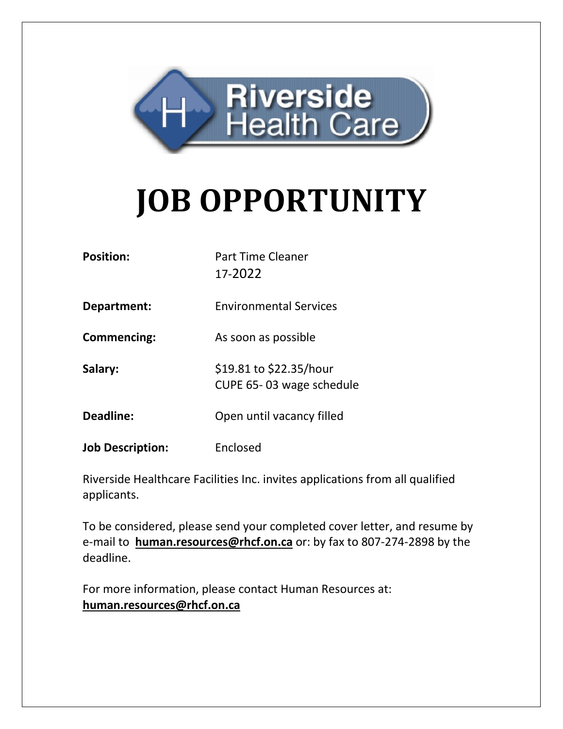

# **JOB OPPORTUNITY**

| <b>Position:</b> | <b>Part Time Cleaner</b> |
|------------------|--------------------------|
|                  | 17-2022                  |

**Department:** Environmental Services

**Commencing:** As soon as possible

**Salary:** \$19.81 to \$22.35/hour CUPE 65- 03 wage schedule

**Deadline:** Open until vacancy filled

**Job Description:** Enclosed

Riverside Healthcare Facilities Inc. invites applications from all qualified applicants.

To be considered, please send your completed cover letter, and resume by e-mail to **[human.resources@rhcf.on.ca](mailto:human.resources@rhcf.on.ca)** or: by fax to 807-274-2898 by the deadline.

For more information, please contact Human Resources at: **[human.resources@rhcf.on.ca](mailto:human.resources@rhcf.on.ca)**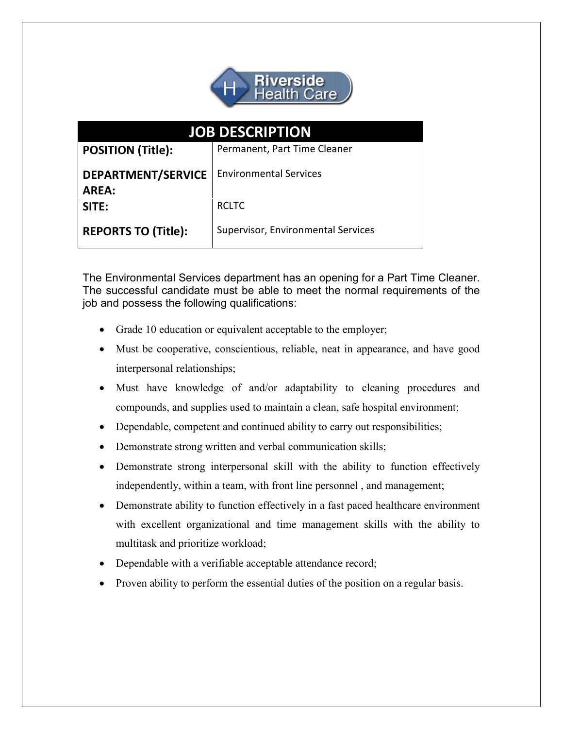

| <b>JOB DESCRIPTION</b>     |                                    |
|----------------------------|------------------------------------|
| <b>POSITION (Title):</b>   | Permanent, Part Time Cleaner       |
| <b>DEPARTMENT/SERVICE</b>  | <b>Environmental Services</b>      |
| <b>AREA:</b>               |                                    |
| SITE:                      | <b>RCLTC</b>                       |
| <b>REPORTS TO (Title):</b> | Supervisor, Environmental Services |

The Environmental Services department has an opening for a Part Time Cleaner. The successful candidate must be able to meet the normal requirements of the job and possess the following qualifications:

- Grade 10 education or equivalent acceptable to the employer;
- Must be cooperative, conscientious, reliable, neat in appearance, and have good interpersonal relationships;
- Must have knowledge of and/or adaptability to cleaning procedures and compounds, and supplies used to maintain a clean, safe hospital environment;
- Dependable, competent and continued ability to carry out responsibilities;
- Demonstrate strong written and verbal communication skills;
- Demonstrate strong interpersonal skill with the ability to function effectively independently, within a team, with front line personnel , and management;
- Demonstrate ability to function effectively in a fast paced healthcare environment with excellent organizational and time management skills with the ability to multitask and prioritize workload;
- Dependable with a verifiable acceptable attendance record;
- Proven ability to perform the essential duties of the position on a regular basis.